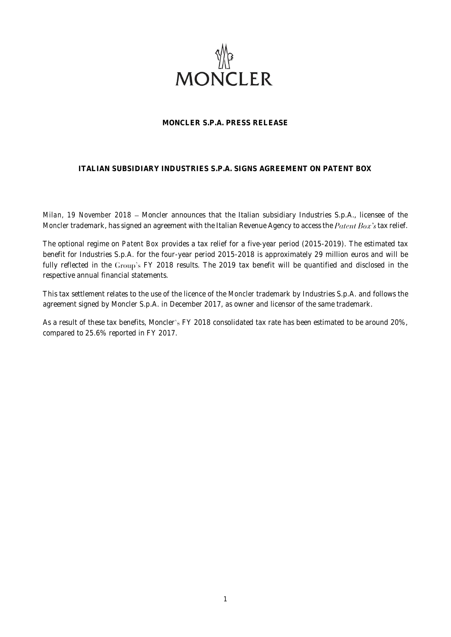

## **MONCLER S.P.A. PRESS RELEASE**

# **ITALIAN SUBSIDIARY INDUSTRIES S.P.A. SIGNS AGREEMENT ON PATENT BOX**

*Milan, 19 November 2018* - Moncler announces that the Italian subsidiary Industries S.p.A., licensee of the *Moncler* trademark, has signed an agreement with the Italian Revenue Agency to access the *Patent Box's* tax relief.

The optional regime on *Patent Box* provides a tax relief for a five-year period (2015-2019). The estimated tax benefit for Industries S.p.A. for the four-year period 2015-2018 is approximately 29 million euros and will be fully reflected in the Group's FY 2018 results. The 2019 tax benefit will be quantified and disclosed in the respective annual financial statements.

This tax settlement relates to the use of the licence of the *Moncler* trademark by Industries S.p.A. and follows the agreement signed by Moncler S.p.A. in December 2017, as owner and licensor of the same trademark.

As a result of these tax benefits, Moncler's FY 2018 consolidated tax rate has been estimated to be around 20%, compared to 25.6% reported in FY 2017.